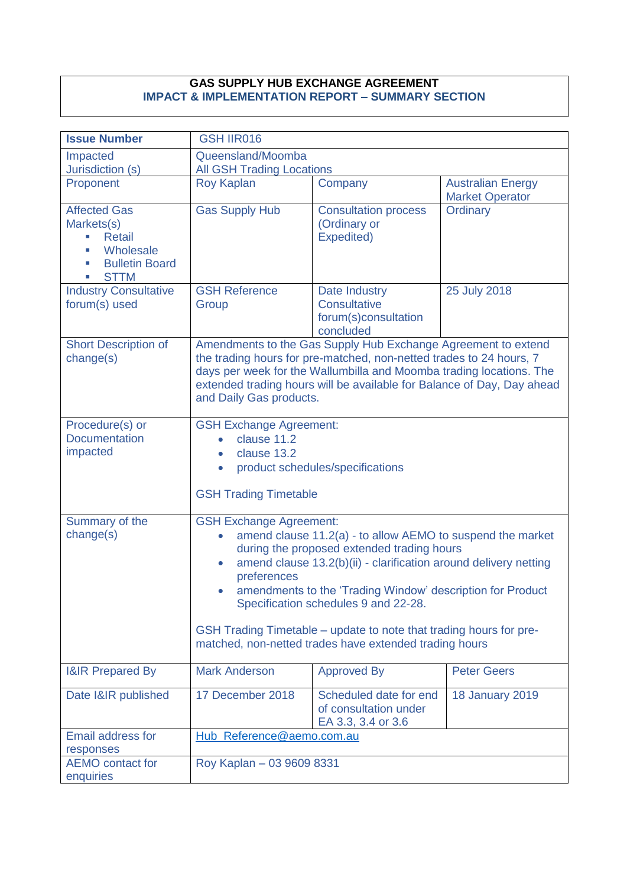## **GAS SUPPLY HUB EXCHANGE AGREEMENT IMPACT & IMPLEMENTATION REPORT – SUMMARY SECTION**

| <b>Issue Number</b>                                                                                                     | <b>GSH IIR016</b>                                                                                                                                                                                                                                                                                                                                                                                                                                                                |                                                                           |                                                    |
|-------------------------------------------------------------------------------------------------------------------------|----------------------------------------------------------------------------------------------------------------------------------------------------------------------------------------------------------------------------------------------------------------------------------------------------------------------------------------------------------------------------------------------------------------------------------------------------------------------------------|---------------------------------------------------------------------------|----------------------------------------------------|
| Impacted<br>Jurisdiction (s)                                                                                            | Queensland/Moomba<br><b>All GSH Trading Locations</b>                                                                                                                                                                                                                                                                                                                                                                                                                            |                                                                           |                                                    |
| Proponent                                                                                                               | <b>Roy Kaplan</b>                                                                                                                                                                                                                                                                                                                                                                                                                                                                | Company                                                                   | <b>Australian Energy</b><br><b>Market Operator</b> |
| <b>Affected Gas</b><br>Markets(s)<br><b>Retail</b><br>ш<br>Wholesale<br><b>Bulletin Board</b><br>ш<br><b>STTM</b><br>u, | <b>Gas Supply Hub</b>                                                                                                                                                                                                                                                                                                                                                                                                                                                            | <b>Consultation process</b><br>(Ordinary or<br>Expedited)                 | Ordinary                                           |
| <b>Industry Consultative</b><br>forum(s) used                                                                           | <b>GSH Reference</b><br>Group                                                                                                                                                                                                                                                                                                                                                                                                                                                    | Date Industry<br><b>Consultative</b><br>forum(s)consultation<br>concluded | 25 July 2018                                       |
| <b>Short Description of</b><br>change(s)                                                                                | Amendments to the Gas Supply Hub Exchange Agreement to extend<br>the trading hours for pre-matched, non-netted trades to 24 hours, 7<br>days per week for the Wallumbilla and Moomba trading locations. The<br>extended trading hours will be available for Balance of Day, Day ahead<br>and Daily Gas products.                                                                                                                                                                 |                                                                           |                                                    |
| Procedure(s) or<br><b>Documentation</b><br>impacted                                                                     | <b>GSH Exchange Agreement:</b><br>clause 11.2<br>$\bullet$<br>clause 13.2<br>$\bullet$<br><b>GSH Trading Timetable</b>                                                                                                                                                                                                                                                                                                                                                           | product schedules/specifications                                          |                                                    |
| Summary of the<br>change(s)                                                                                             | <b>GSH Exchange Agreement:</b><br>amend clause 11.2(a) - to allow AEMO to suspend the market<br>during the proposed extended trading hours<br>amend clause 13.2(b)(ii) - clarification around delivery netting<br>$\bullet$<br>preferences<br>amendments to the 'Trading Window' description for Product<br>Specification schedules 9 and 22-28.<br>GSH Trading Timetable – update to note that trading hours for pre-<br>matched, non-netted trades have extended trading hours |                                                                           |                                                    |
| <b>I&amp;IR Prepared By</b>                                                                                             | <b>Mark Anderson</b>                                                                                                                                                                                                                                                                                                                                                                                                                                                             | <b>Approved By</b>                                                        | <b>Peter Geers</b>                                 |
| Date I&IR published                                                                                                     | 17 December 2018                                                                                                                                                                                                                                                                                                                                                                                                                                                                 | Scheduled date for end<br>of consultation under<br>EA 3.3, 3.4 or 3.6     | <b>18 January 2019</b>                             |
| <b>Email address for</b><br>responses                                                                                   |                                                                                                                                                                                                                                                                                                                                                                                                                                                                                  | Hub_Reference@aemo.com.au                                                 |                                                    |
| <b>AEMO</b> contact for<br>enquiries                                                                                    | Roy Kaplan - 03 9609 8331                                                                                                                                                                                                                                                                                                                                                                                                                                                        |                                                                           |                                                    |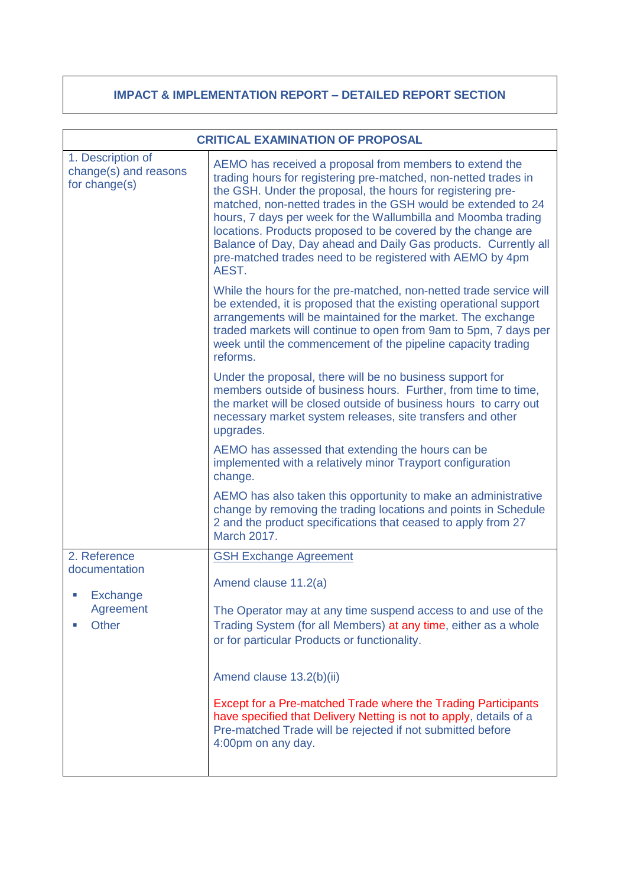## **IMPACT & IMPLEMENTATION REPORT – DETAILED REPORT SECTION**

| <b>CRITICAL EXAMINATION OF PROPOSAL</b>                     |                                                                                                                                                                                                                                                                                                                                                                                                                                                                                                                                      |  |
|-------------------------------------------------------------|--------------------------------------------------------------------------------------------------------------------------------------------------------------------------------------------------------------------------------------------------------------------------------------------------------------------------------------------------------------------------------------------------------------------------------------------------------------------------------------------------------------------------------------|--|
| 1. Description of<br>change(s) and reasons<br>for change(s) | AEMO has received a proposal from members to extend the<br>trading hours for registering pre-matched, non-netted trades in<br>the GSH. Under the proposal, the hours for registering pre-<br>matched, non-netted trades in the GSH would be extended to 24<br>hours, 7 days per week for the Wallumbilla and Moomba trading<br>locations. Products proposed to be covered by the change are<br>Balance of Day, Day ahead and Daily Gas products. Currently all<br>pre-matched trades need to be registered with AEMO by 4pm<br>AEST. |  |
|                                                             | While the hours for the pre-matched, non-netted trade service will<br>be extended, it is proposed that the existing operational support<br>arrangements will be maintained for the market. The exchange<br>traded markets will continue to open from 9am to 5pm, 7 days per<br>week until the commencement of the pipeline capacity trading<br>reforms.                                                                                                                                                                              |  |
|                                                             | Under the proposal, there will be no business support for<br>members outside of business hours. Further, from time to time,<br>the market will be closed outside of business hours to carry out<br>necessary market system releases, site transfers and other<br>upgrades.                                                                                                                                                                                                                                                           |  |
|                                                             | AEMO has assessed that extending the hours can be<br>implemented with a relatively minor Trayport configuration<br>change.                                                                                                                                                                                                                                                                                                                                                                                                           |  |
|                                                             | AEMO has also taken this opportunity to make an administrative<br>change by removing the trading locations and points in Schedule<br>2 and the product specifications that ceased to apply from 27<br><b>March 2017.</b>                                                                                                                                                                                                                                                                                                             |  |
| 2. Reference                                                | <b>GSH Exchange Agreement</b>                                                                                                                                                                                                                                                                                                                                                                                                                                                                                                        |  |
| documentation<br>Exchange<br>Agreement<br>Other             | Amend clause 11.2(a)                                                                                                                                                                                                                                                                                                                                                                                                                                                                                                                 |  |
|                                                             | The Operator may at any time suspend access to and use of the<br>Trading System (for all Members) at any time, either as a whole<br>or for particular Products or functionality.                                                                                                                                                                                                                                                                                                                                                     |  |
|                                                             | Amend clause 13.2(b)(ii)                                                                                                                                                                                                                                                                                                                                                                                                                                                                                                             |  |
|                                                             | Except for a Pre-matched Trade where the Trading Participants<br>have specified that Delivery Netting is not to apply, details of a<br>Pre-matched Trade will be rejected if not submitted before<br>4:00pm on any day.                                                                                                                                                                                                                                                                                                              |  |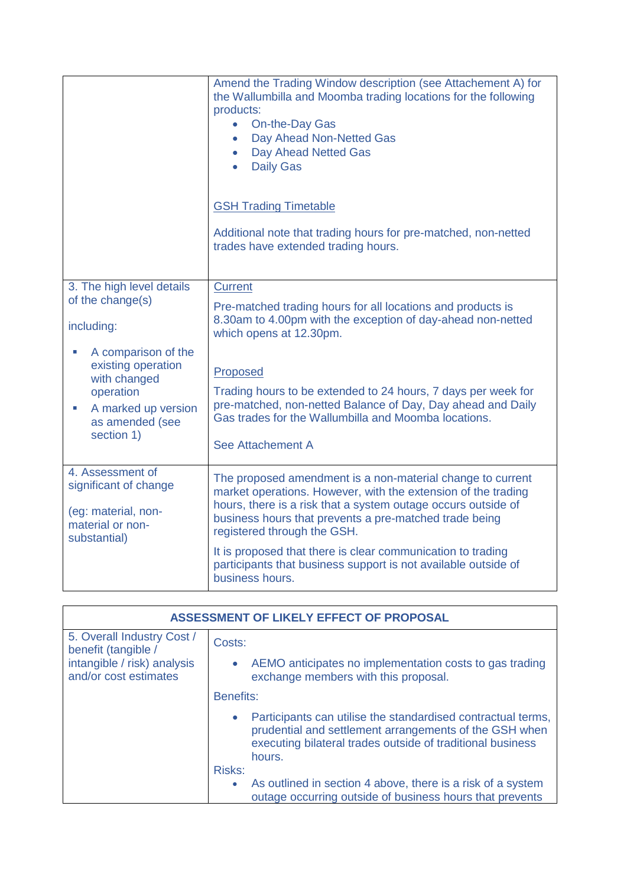|                                                                                                                                                                                           | Amend the Trading Window description (see Attachement A) for<br>the Wallumbilla and Moomba trading locations for the following<br>products:<br>On-the-Day Gas<br>$\bullet$<br>Day Ahead Non-Netted Gas<br>$\bullet$<br>Day Ahead Netted Gas<br>$\bullet$<br><b>Daily Gas</b><br>$\bullet$ |
|-------------------------------------------------------------------------------------------------------------------------------------------------------------------------------------------|-------------------------------------------------------------------------------------------------------------------------------------------------------------------------------------------------------------------------------------------------------------------------------------------|
|                                                                                                                                                                                           | <b>GSH Trading Timetable</b>                                                                                                                                                                                                                                                              |
|                                                                                                                                                                                           | Additional note that trading hours for pre-matched, non-netted<br>trades have extended trading hours.                                                                                                                                                                                     |
| 3. The high level details<br>of the change(s)                                                                                                                                             | <b>Current</b>                                                                                                                                                                                                                                                                            |
| including:                                                                                                                                                                                | Pre-matched trading hours for all locations and products is<br>8.30am to 4.00pm with the exception of day-ahead non-netted<br>which opens at 12.30pm.                                                                                                                                     |
| A comparison of the<br>$\overline{\phantom{a}}$<br>existing operation<br>with changed<br>operation<br>A marked up version<br>$\mathcal{L}_{\mathcal{A}}$<br>as amended (see<br>section 1) | Proposed<br>Trading hours to be extended to 24 hours, 7 days per week for<br>pre-matched, non-netted Balance of Day, Day ahead and Daily<br>Gas trades for the Wallumbilla and Moomba locations.<br>See Attachement A                                                                     |
| 4. Assessment of<br>significant of change<br>(eg: material, non-<br>material or non-<br>substantial)                                                                                      | The proposed amendment is a non-material change to current<br>market operations. However, with the extension of the trading<br>hours, there is a risk that a system outage occurs outside of<br>business hours that prevents a pre-matched trade being<br>registered through the GSH.     |
|                                                                                                                                                                                           | It is proposed that there is clear communication to trading<br>participants that business support is not available outside of<br>business hours.                                                                                                                                          |

| ASSESSMENT OF LIKELY EFFECT OF PROPOSAL              |                                                                                                                                                                                                |
|------------------------------------------------------|------------------------------------------------------------------------------------------------------------------------------------------------------------------------------------------------|
| 5. Overall Industry Cost /<br>benefit (tangible /    | Costs:                                                                                                                                                                                         |
| intangible / risk) analysis<br>and/or cost estimates | AEMO anticipates no implementation costs to gas trading<br>exchange members with this proposal.                                                                                                |
|                                                      | Benefits:                                                                                                                                                                                      |
|                                                      | Participants can utilise the standardised contractual terms,<br>prudential and settlement arrangements of the GSH when<br>executing bilateral trades outside of traditional business<br>hours. |
|                                                      | Risks:                                                                                                                                                                                         |
|                                                      | As outlined in section 4 above, there is a risk of a system<br>outage occurring outside of business hours that prevents                                                                        |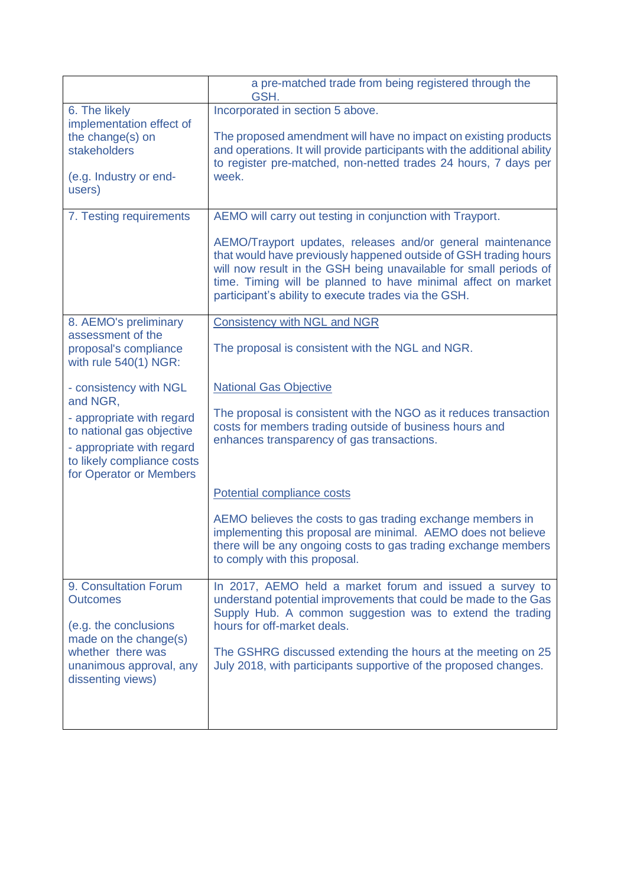|                                                                                                                                              | a pre-matched trade from being registered through the<br>GSH.                                                                                                                                                                                                                                                                |
|----------------------------------------------------------------------------------------------------------------------------------------------|------------------------------------------------------------------------------------------------------------------------------------------------------------------------------------------------------------------------------------------------------------------------------------------------------------------------------|
| 6. The likely<br>implementation effect of<br>the change(s) on<br>stakeholders                                                                | Incorporated in section 5 above.<br>The proposed amendment will have no impact on existing products<br>and operations. It will provide participants with the additional ability<br>to register pre-matched, non-netted trades 24 hours, 7 days per                                                                           |
| (e.g. Industry or end-<br>users)                                                                                                             | week.                                                                                                                                                                                                                                                                                                                        |
| 7. Testing requirements                                                                                                                      | AEMO will carry out testing in conjunction with Trayport.                                                                                                                                                                                                                                                                    |
|                                                                                                                                              | AEMO/Trayport updates, releases and/or general maintenance<br>that would have previously happened outside of GSH trading hours<br>will now result in the GSH being unavailable for small periods of<br>time. Timing will be planned to have minimal affect on market<br>participant's ability to execute trades via the GSH. |
| 8. AEMO's preliminary                                                                                                                        | <b>Consistency with NGL and NGR</b>                                                                                                                                                                                                                                                                                          |
| assessment of the<br>proposal's compliance<br>with rule $540(1)$ NGR:                                                                        | The proposal is consistent with the NGL and NGR.                                                                                                                                                                                                                                                                             |
| - consistency with NGL<br>and NGR,                                                                                                           | <b>National Gas Objective</b>                                                                                                                                                                                                                                                                                                |
| - appropriate with regard<br>to national gas objective<br>- appropriate with regard<br>to likely compliance costs<br>for Operator or Members | The proposal is consistent with the NGO as it reduces transaction<br>costs for members trading outside of business hours and<br>enhances transparency of gas transactions.                                                                                                                                                   |
|                                                                                                                                              | Potential compliance costs                                                                                                                                                                                                                                                                                                   |
|                                                                                                                                              | AEMO believes the costs to gas trading exchange members in<br>implementing this proposal are minimal. AEMO does not believe<br>there will be any ongoing costs to gas trading exchange members<br>to comply with this proposal.                                                                                              |
| 9. Consultation Forum<br><b>Outcomes</b>                                                                                                     | In 2017, AEMO held a market forum and issued a survey to<br>understand potential improvements that could be made to the Gas                                                                                                                                                                                                  |
| (e.g. the conclusions                                                                                                                        | Supply Hub. A common suggestion was to extend the trading<br>hours for off-market deals.                                                                                                                                                                                                                                     |
| made on the change(s)                                                                                                                        |                                                                                                                                                                                                                                                                                                                              |
| whether there was<br>unanimous approval, any<br>dissenting views)                                                                            | The GSHRG discussed extending the hours at the meeting on 25<br>July 2018, with participants supportive of the proposed changes.                                                                                                                                                                                             |
|                                                                                                                                              |                                                                                                                                                                                                                                                                                                                              |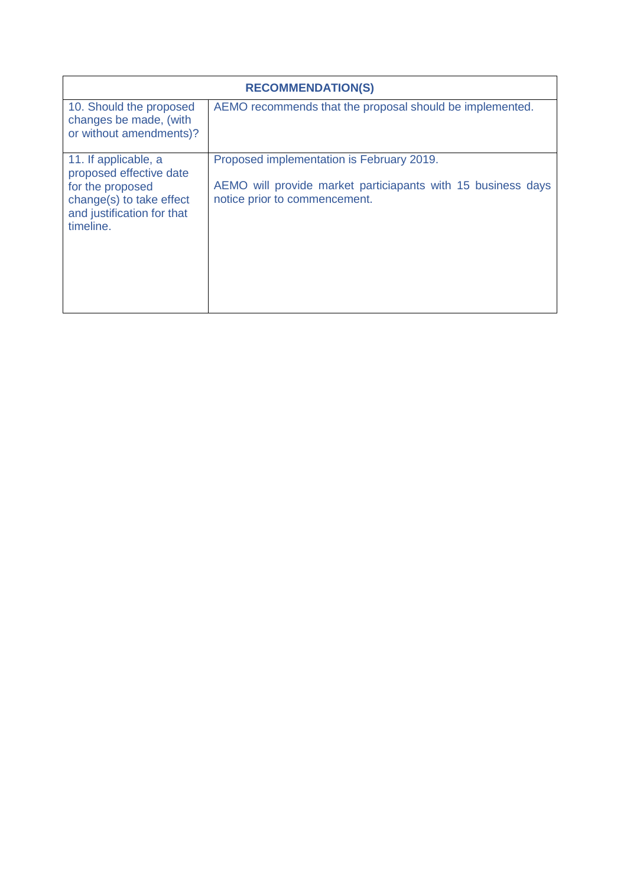| <b>RECOMMENDATION(S)</b>                                                                                                                   |                                                                                                                                            |  |
|--------------------------------------------------------------------------------------------------------------------------------------------|--------------------------------------------------------------------------------------------------------------------------------------------|--|
| 10. Should the proposed<br>changes be made, (with<br>or without amendments)?                                                               | AEMO recommends that the proposal should be implemented.                                                                                   |  |
| 11. If applicable, a<br>proposed effective date<br>for the proposed<br>change(s) to take effect<br>and justification for that<br>timeline. | Proposed implementation is February 2019.<br>AEMO will provide market particiapants with 15 business days<br>notice prior to commencement. |  |